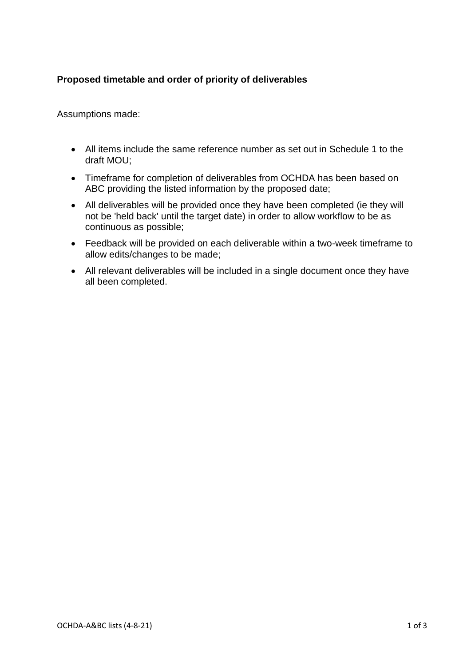# **Proposed timetable and order of priority of deliverables**

Assumptions made:

- All items include the same reference number as set out in Schedule 1 to the draft MOU;
- Timeframe for completion of deliverables from OCHDA has been based on ABC providing the listed information by the proposed date;
- All deliverables will be provided once they have been completed (ie they will not be 'held back' until the target date) in order to allow workflow to be as continuous as possible;
- Feedback will be provided on each deliverable within a two-week timeframe to allow edits/changes to be made;
- All relevant deliverables will be included in a single document once they have all been completed.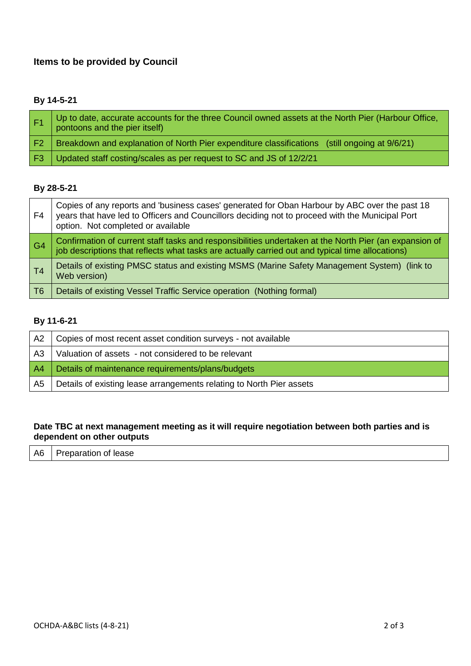# **Items to be provided by Council**

## **By 14-5-21**

|                | Up to date, accurate accounts for the three Council owned assets at the North Pier (Harbour Office,<br>pontoons and the pier itself) |
|----------------|--------------------------------------------------------------------------------------------------------------------------------------|
| F <sub>2</sub> | Breakdown and explanation of North Pier expenditure classifications (still ongoing at 9/6/21)                                        |
| F3.            | Updated staff costing/scales as per request to SC and JS of 12/2/21                                                                  |

### **By 28-5-21**

| F <sub>4</sub> | Copies of any reports and 'business cases' generated for Oban Harbour by ABC over the past 18<br>years that have led to Officers and Councillors deciding not to proceed with the Municipal Port<br>option. Not completed or available |
|----------------|----------------------------------------------------------------------------------------------------------------------------------------------------------------------------------------------------------------------------------------|
| G <sub>4</sub> | Confirmation of current staff tasks and responsibilities undertaken at the North Pier (an expansion of<br>job descriptions that reflects what tasks are actually carried out and typical time allocations)                             |
| T <sub>4</sub> | Details of existing PMSC status and existing MSMS (Marine Safety Management System) (link to<br>Web version)                                                                                                                           |
| T6             | Details of existing Vessel Traffic Service operation (Nothing formal)                                                                                                                                                                  |

## **By 11-6-21**

| A2             | Copies of most recent asset condition surveys - not available        |
|----------------|----------------------------------------------------------------------|
| A3             | Valuation of assets - not considered to be relevant                  |
| A <sup>4</sup> | Details of maintenance requirements/plans/budgets                    |
| A5             | Details of existing lease arrangements relating to North Pier assets |

### **Date TBC at next management meeting as it will require negotiation between both parties and is dependent on other outputs**

|--|